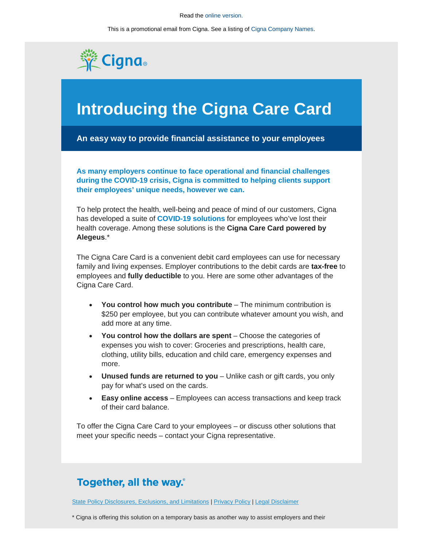## Read the [online version.](http://app.connecting.cigna.com/e/es?s=1399&e=416629&elqTrackId=7feefebc3c3747ea806ddea91b67f324&elq=b7011160d69d41ea85a7bc1fec957995&elqaid=19230&elqat=1&elqah=FC5D06EE83960ED82885F01F5F5658C83C2E8B7A0C9D65897DAD2B7D86996EB2)

This is a promotional email from Cigna. See a listing o[f Cigna Company Names.](http://www.cigna.com/cignastatedirectory/?elqTrackId=7fda3e28a5ef45ff8ba46249e3de50b5&elq=b7011160d69d41ea85a7bc1fec957995&elqaid=19230&elqat=1&elqCampaignId=6719&elqah=CFFDBB8CFAC73AD5920DC7D213295FDFCB8B54AB0E68E9615B4A118B9D395313)



## **Introducing the Cigna Care Card**

**An easy way to provide financial assistance to your employees**

**As many employers continue to face operational and financial challenges during the COVID-19 crisis, Cigna is committed to helping clients support their employees' unique needs, however we can.**

To help protect the health, well-being and peace of mind of our customers, Cigna has developed a suite of **[COVID-19](http://app.connecting.cigna.com/e/er?s=1399&lid=14819&elqTrackId=b75a14e90329449a996a800a9e80ceb0&elq=b7011160d69d41ea85a7bc1fec957995&elqaid=19230&elqat=1&elqah=E1064E27B3F59561BEBB8FDB0FE0CD31B10DE76D876F11AAA1274A192211D70F) solutions** for employees who've lost their health coverage. Among these solutions is the **Cigna Care Card powered by Alegeus**.\*

The Cigna Care Card is a convenient debit card employees can use for necessary family and living expenses. Employer contributions to the debit cards are **tax-free** to employees and **fully deductible** to you. Here are some other advantages of the Cigna Care Card.

- **You control how much you contribute** The minimum contribution is \$250 per employee, but you can contribute whatever amount you wish, and add more at any time.
- **You control how the dollars are spent** Choose the categories of expenses you wish to cover: Groceries and prescriptions, health care, clothing, utility bills, education and child care, emergency expenses and more.
- **Unused funds are returned to you** Unlike cash or gift cards, you only pay for what's used on the cards.
- **Easy online access** Employees can access transactions and keep track of their card balance.

To offer the Cigna Care Card to your employees – or discuss other solutions that meet your specific needs – contact your Cigna representative.

## **Together, all the way.**

[State Policy Disclosures, Exclusions, and Limitations](http://app.connecting.cigna.com/e/er?s=1399&lid=14385&elqTrackId=b2dbcae019864d50a2185f619bcf2ff9&elq=b7011160d69d41ea85a7bc1fec957995&elqaid=19230&elqat=1&elqah=EA6B15B6AA16D73F68EEB11D1093C4F060D9C7D937BF3CAA79A8A396F06DFD78) [| Privacy Policy](http://app.connecting.cigna.com/e/er?s=1399&lid=2462&elqTrackId=4f369e80ff0d48a2abfa5fe64e7fd7c5&elq=b7011160d69d41ea85a7bc1fec957995&elqaid=19230&elqat=1&elqah=CA0597FD7DBB3A54C51B99985CA2EEE4E92E5563BF2FE729D0AEF1C5991C095D) [| Legal Disclaimer](http://app.connecting.cigna.com/e/er?s=1399&lid=2997&elqTrackId=35e4d4cbf56f4893a3a3b738ca2eaf9d&elq=b7011160d69d41ea85a7bc1fec957995&elqaid=19230&elqat=1&elqah=690A4382452B8538C62F5E3DB49804B79EDED9A7C3258FAD004A97900C2BB82F)

\* Cigna is offering this solution on a temporary basis as another way to assist employers and their